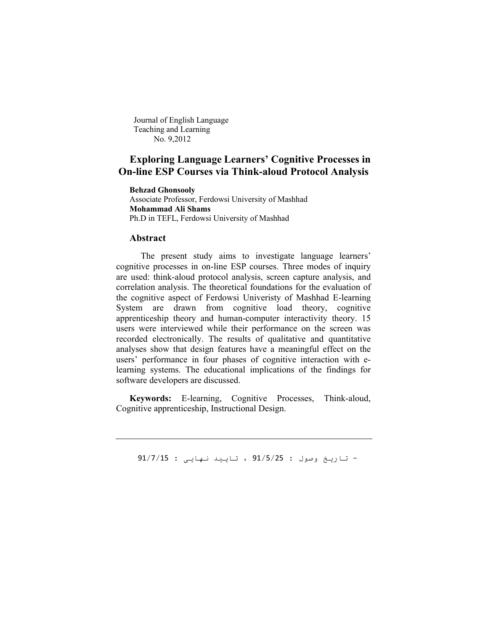Journal of English Language Teaching and Learning No. 9,2012

# **Exploring Language Learners' Cognitive Processes in On-line ESP Courses via Think-aloud Protocol Analysis**

**Behzad Ghonsooly** Associate Professor, Ferdowsi University of Mashhad **Mohammad Ali Shams** Ph.D in TEFL, Ferdowsi University of Mashhad

#### **Abstract**

 The present study aims to investigate language learners' cognitive processes in on-line ESP courses. Three modes of inquiry are used: think-aloud protocol analysis, screen capture analysis, and correlation analysis. The theoretical foundations for the evaluation of the cognitive aspect of Ferdowsi Univeristy of Mashhad E-learning System are drawn from cognitive load theory, cognitive apprenticeship theory and human-computer interactivity theory. 15 users were interviewed while their performance on the screen was recorded electronically. The results of qualitative and quantitative analyses show that design features have a meaningful effect on the users' performance in four phases of cognitive interaction with elearning systems. The educational implications of the findings for software developers are discussed.

**Keywords:** E-learning, Cognitive Processes, Think-aloud, Cognitive apprenticeship, Instructional Design.

- تاریخ وصول : 91/5/25 ، تایید نھایی : 91/7/15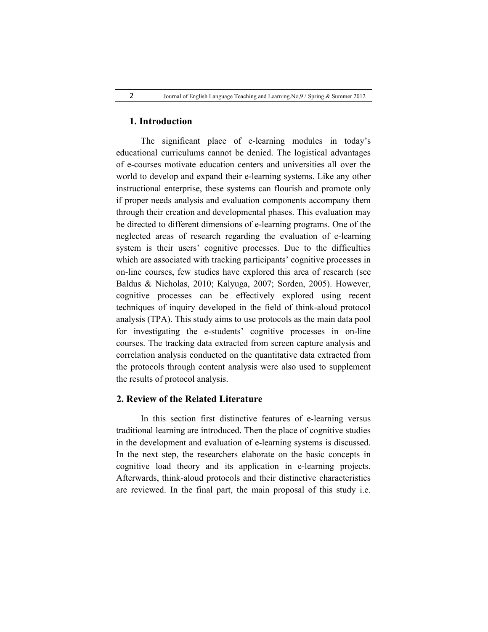### **1. Introduction**

 The significant place of e-learning modules in today's educational curriculums cannot be denied. The logistical advantages of e-courses motivate education centers and universities all over the world to develop and expand their e-learning systems. Like any other instructional enterprise, these systems can flourish and promote only if proper needs analysis and evaluation components accompany them through their creation and developmental phases. This evaluation may be directed to different dimensions of e-learning programs. One of the neglected areas of research regarding the evaluation of e-learning system is their users' cognitive processes. Due to the difficulties which are associated with tracking participants' cognitive processes in on-line courses, few studies have explored this area of research (see Baldus & Nicholas, 2010; Kalyuga, 2007; Sorden, 2005). However, cognitive processes can be effectively explored using recent techniques of inquiry developed in the field of think-aloud protocol analysis (TPA). This study aims to use protocols as the main data pool for investigating the e-students' cognitive processes in on-line courses. The tracking data extracted from screen capture analysis and correlation analysis conducted on the quantitative data extracted from the protocols through content analysis were also used to supplement the results of protocol analysis.

# **2. Review of the Related Literature**

 In this section first distinctive features of e-learning versus traditional learning are introduced. Then the place of cognitive studies in the development and evaluation of e-learning systems is discussed. In the next step, the researchers elaborate on the basic concepts in cognitive load theory and its application in e-learning projects. Afterwards, think-aloud protocols and their distinctive characteristics are reviewed. In the final part, the main proposal of this study i.e.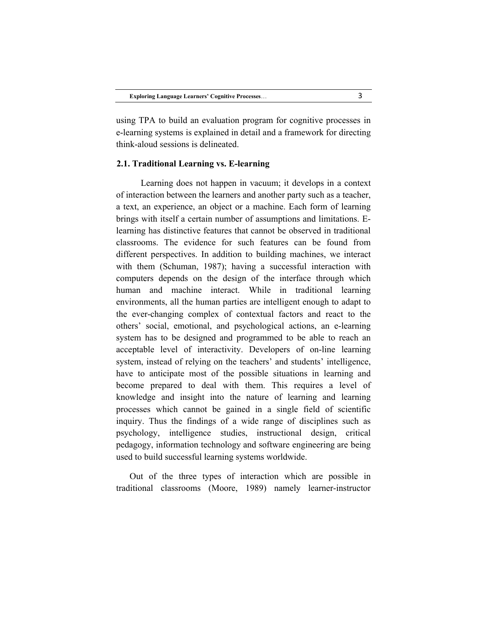using TPA to build an evaluation program for cognitive processes in e-learning systems is explained in detail and a framework for directing think-aloud sessions is delineated.

## **2.1. Traditional Learning vs. E-learning**

 Learning does not happen in vacuum; it develops in a context of interaction between the learners and another party such as a teacher, a text, an experience, an object or a machine. Each form of learning brings with itself a certain number of assumptions and limitations. Elearning has distinctive features that cannot be observed in traditional classrooms. The evidence for such features can be found from different perspectives. In addition to building machines, we interact with them (Schuman, 1987); having a successful interaction with computers depends on the design of the interface through which human and machine interact. While in traditional learning environments, all the human parties are intelligent enough to adapt to the ever-changing complex of contextual factors and react to the others' social, emotional, and psychological actions, an e-learning system has to be designed and programmed to be able to reach an acceptable level of interactivity. Developers of on-line learning system, instead of relying on the teachers' and students' intelligence, have to anticipate most of the possible situations in learning and become prepared to deal with them. This requires a level of knowledge and insight into the nature of learning and learning processes which cannot be gained in a single field of scientific inquiry. Thus the findings of a wide range of disciplines such as psychology, intelligence studies, instructional design, critical pedagogy, information technology and software engineering are being used to build successful learning systems worldwide.

Out of the three types of interaction which are possible in traditional classrooms (Moore, 1989) namely learner-instructor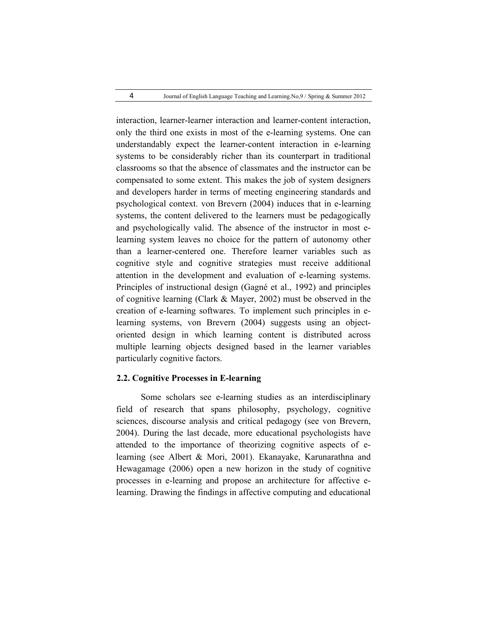interaction, learner-learner interaction and learner-content interaction, only the third one exists in most of the e-learning systems. One can understandably expect the learner-content interaction in e-learning systems to be considerably richer than its counterpart in traditional classrooms so that the absence of classmates and the instructor can be compensated to some extent. This makes the job of system designers and developers harder in terms of meeting engineering standards and psychological context. von Brevern (2004) induces that in e-learning systems, the content delivered to the learners must be pedagogically and psychologically valid. The absence of the instructor in most elearning system leaves no choice for the pattern of autonomy other than a learner-centered one. Therefore learner variables such as cognitive style and cognitive strategies must receive additional attention in the development and evaluation of e-learning systems. Principles of instructional design (Gagné et al., 1992) and principles of cognitive learning (Clark & Mayer, 2002) must be observed in the creation of e-learning softwares. To implement such principles in elearning systems, von Brevern (2004) suggests using an objectoriented design in which learning content is distributed across multiple learning objects designed based in the learner variables particularly cognitive factors.

## **2.2. Cognitive Processes in E-learning**

 Some scholars see e-learning studies as an interdisciplinary field of research that spans philosophy, psychology, cognitive sciences, discourse analysis and critical pedagogy (see von Brevern, 2004). During the last decade, more educational psychologists have attended to the importance of theorizing cognitive aspects of elearning (see Albert & Mori, 2001). Ekanayake, Karunarathna and Hewagamage (2006) open a new horizon in the study of cognitive processes in e-learning and propose an architecture for affective elearning. Drawing the findings in affective computing and educational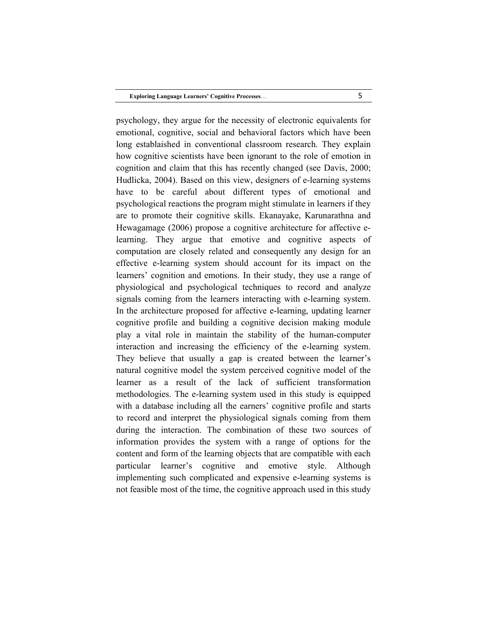psychology, they argue for the necessity of electronic equivalents for emotional, cognitive, social and behavioral factors which have been long establaished in conventional classroom research. They explain how cognitive scientists have been ignorant to the role of emotion in cognition and claim that this has recently changed (see Davis, 2000; Hudlicka, 2004). Based on this view, designers of e-learning systems have to be careful about different types of emotional and psychological reactions the program might stimulate in learners if they are to promote their cognitive skills. Ekanayake, Karunarathna and Hewagamage (2006) propose a cognitive architecture for affective elearning. They argue that emotive and cognitive aspects of computation are closely related and consequently any design for an effective e-learning system should account for its impact on the learners' cognition and emotions. In their study, they use a range of physiological and psychological techniques to record and analyze signals coming from the learners interacting with e-learning system. In the architecture proposed for affective e-learning, updating learner cognitive profile and building a cognitive decision making module play a vital role in maintain the stability of the human-computer interaction and increasing the efficiency of the e-learning system. They believe that usually a gap is created between the learner's natural cognitive model the system perceived cognitive model of the learner as a result of the lack of sufficient transformation methodologies. The e-learning system used in this study is equipped with a database including all the earners' cognitive profile and starts to record and interpret the physiological signals coming from them during the interaction. The combination of these two sources of information provides the system with a range of options for the content and form of the learning objects that are compatible with each particular learner's cognitive and emotive style. Although implementing such complicated and expensive e-learning systems is not feasible most of the time, the cognitive approach used in this study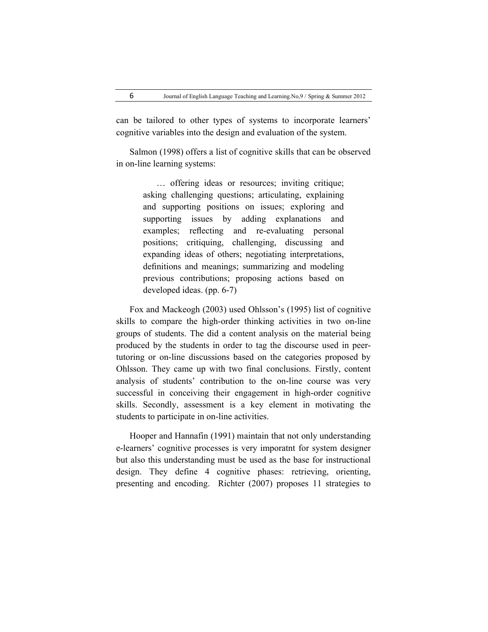can be tailored to other types of systems to incorporate learners' cognitive variables into the design and evaluation of the system.

Salmon (1998) offers a list of cognitive skills that can be observed in on-line learning systems:

> … offering ideas or resources; inviting critique; asking challenging questions; articulating, explaining and supporting positions on issues; exploring and supporting issues by adding explanations and examples; reflecting and re-evaluating personal positions; critiquing, challenging, discussing and expanding ideas of others; negotiating interpretations, definitions and meanings; summarizing and modeling previous contributions; proposing actions based on developed ideas. (pp. 6-7)

Fox and Mackeogh (2003) used Ohlsson's (1995) list of cognitive skills to compare the high-order thinking activities in two on-line groups of students. The did a content analysis on the material being produced by the students in order to tag the discourse used in peertutoring or on-line discussions based on the categories proposed by Ohlsson. They came up with two final conclusions. Firstly, content analysis of students' contribution to the on-line course was very successful in conceiving their engagement in high-order cognitive skills. Secondly, assessment is a key element in motivating the students to participate in on-line activities.

Hooper and Hannafin (1991) maintain that not only understanding e-learners' cognitive processes is very imporatnt for system designer but also this understanding must be used as the base for instructional design. They define 4 cognitive phases: retrieving, orienting, presenting and encoding. Richter (2007) proposes 11 strategies to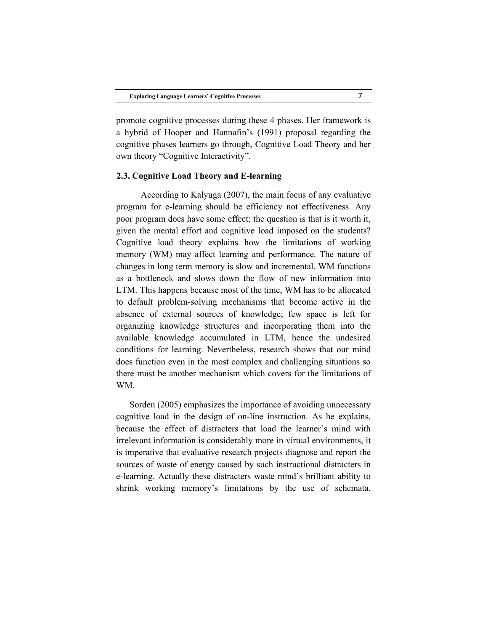promote cognitive processes during these 4 phases. Her framework is a hybrid of Hooper and Hannafin's (1991) proposal regarding the cognitive phases learners go through, Cognitive Load Theory and her own theory "Cognitive Interactivity".

### **2.3. Cognitive Load Theory and E-learning**

 According to Kalyuga (2007), the main focus of any evaluative program for e-learning should be efficiency not effectiveness. Any poor program does have some effect; the question is that is it worth it, given the mental effort and cognitive load imposed on the students? Cognitive load theory explains how the limitations of working memory (WM) may affect learning and performance. The nature of changes in long term memory is slow and incremental. WM functions as a bottleneck and slows down the flow of new information into LTM. This happens because most of the time, WM has to be allocated to default problem-solving mechanisms that become active in the absence of external sources of knowledge; few space is left for organizing knowledge structures and incorporating them into the available knowledge accumulated in LTM, hence the undesired conditions for learning. Nevertheless, research shows that our mind does function even in the most complex and challenging situations so there must be another mechanism which covers for the limitations of WM.

Sorden (2005) emphasizes the importance of avoiding unnecessary cognitive load in the design of on-line instruction. As he explains, because the effect of distracters that load the learner's mind with irrelevant information is considerably more in virtual environments, it is imperative that evaluative research projects diagnose and report the sources of waste of energy caused by such instructional distracters in e-learning. Actually these distracters waste mind's brilliant ability to shrink working memory's limitations by the use of schemata.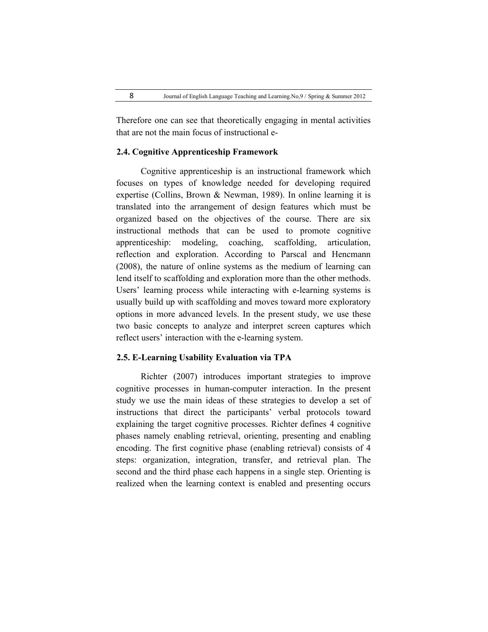Therefore one can see that theoretically engaging in mental activities that are not the main focus of instructional e-

# **2.4. Cognitive Apprenticeship Framework**

 Cognitive apprenticeship is an instructional framework which focuses on types of knowledge needed for developing required expertise (Collins, Brown & Newman, 1989). In online learning it is translated into the arrangement of design features which must be organized based on the objectives of the course. There are six instructional methods that can be used to promote cognitive apprenticeship: modeling, coaching, scaffolding, articulation, reflection and exploration. According to Parscal and Hencmann (2008), the nature of online systems as the medium of learning can lend itself to scaffolding and exploration more than the other methods. Users' learning process while interacting with e-learning systems is usually build up with scaffolding and moves toward more exploratory options in more advanced levels. In the present study, we use these two basic concepts to analyze and interpret screen captures which reflect users' interaction with the e-learning system.

## **2.5. E-Learning Usability Evaluation via TPA**

 Richter (2007) introduces important strategies to improve cognitive processes in human-computer interaction. In the present study we use the main ideas of these strategies to develop a set of instructions that direct the participants' verbal protocols toward explaining the target cognitive processes. Richter defines 4 cognitive phases namely enabling retrieval, orienting, presenting and enabling encoding. The first cognitive phase (enabling retrieval) consists of 4 steps: organization, integration, transfer, and retrieval plan. The second and the third phase each happens in a single step. Orienting is realized when the learning context is enabled and presenting occurs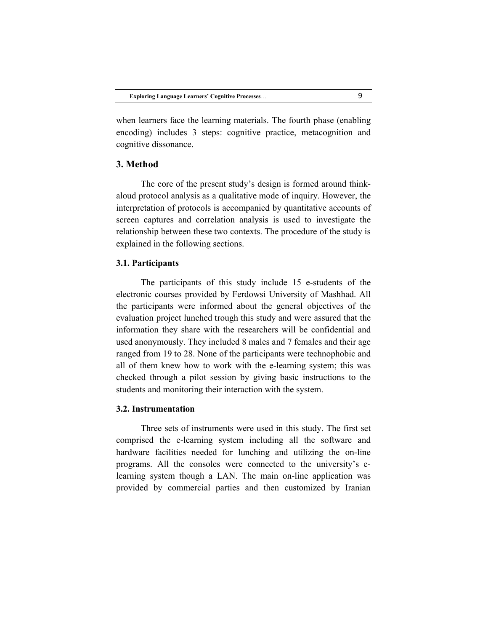when learners face the learning materials. The fourth phase (enabling encoding) includes 3 steps: cognitive practice, metacognition and cognitive dissonance.

# **3. Method**

 The core of the present study's design is formed around thinkaloud protocol analysis as a qualitative mode of inquiry. However, the interpretation of protocols is accompanied by quantitative accounts of screen captures and correlation analysis is used to investigate the relationship between these two contexts. The procedure of the study is explained in the following sections.

## **3.1. Participants**

 The participants of this study include 15 e-students of the electronic courses provided by Ferdowsi University of Mashhad. All the participants were informed about the general objectives of the evaluation project lunched trough this study and were assured that the information they share with the researchers will be confidential and used anonymously. They included 8 males and 7 females and their age ranged from 19 to 28. None of the participants were technophobic and all of them knew how to work with the e-learning system; this was checked through a pilot session by giving basic instructions to the students and monitoring their interaction with the system.

### **3.2. Instrumentation**

 Three sets of instruments were used in this study. The first set comprised the e-learning system including all the software and hardware facilities needed for lunching and utilizing the on-line programs. All the consoles were connected to the university's elearning system though a LAN. The main on-line application was provided by commercial parties and then customized by Iranian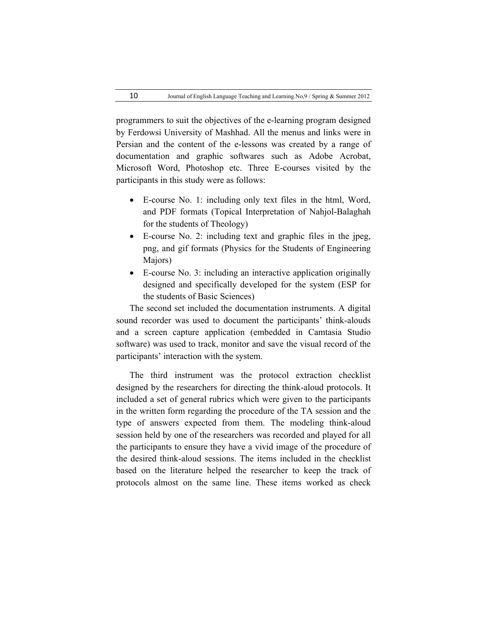programmers to suit the objectives of the e-learning program designed by Ferdowsi University of Mashhad. All the menus and links were in Persian and the content of the e-lessons was created by a range of documentation and graphic softwares such as Adobe Acrobat, Microsoft Word, Photoshop etc. Three E-courses visited by the participants in this study were as follows:

- E-course No. 1: including only text files in the html, Word, and PDF formats (Topical Interpretation of Nahjol-Balaghah for the students of Theology)
- E-course No. 2: including text and graphic files in the jpeg, png, and gif formats (Physics for the Students of Engineering Majors)
- E-course No. 3: including an interactive application originally designed and specifically developed for the system (ESP for the students of Basic Sciences)

The second set included the documentation instruments. A digital sound recorder was used to document the participants' think-alouds and a screen capture application (embedded in Camtasia Studio software) was used to track, monitor and save the visual record of the participants' interaction with the system.

The third instrument was the protocol extraction checklist designed by the researchers for directing the think-aloud protocols. It included a set of general rubrics which were given to the participants in the written form regarding the procedure of the TA session and the type of answers expected from them. The modeling think-aloud session held by one of the researchers was recorded and played for all the participants to ensure they have a vivid image of the procedure of the desired think-aloud sessions. The items included in the checklist based on the literature helped the researcher to keep the track of protocols almost on the same line. These items worked as check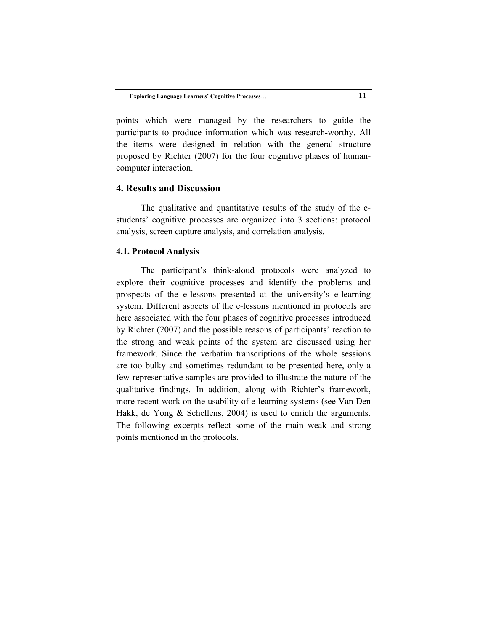points which were managed by the researchers to guide the participants to produce information which was research-worthy. All the items were designed in relation with the general structure proposed by Richter (2007) for the four cognitive phases of humancomputer interaction.

# **4. Results and Discussion**

 The qualitative and quantitative results of the study of the estudents' cognitive processes are organized into 3 sections: protocol analysis, screen capture analysis, and correlation analysis.

### **4.1. Protocol Analysis**

 The participant's think-aloud protocols were analyzed to explore their cognitive processes and identify the problems and prospects of the e-lessons presented at the university's e-learning system. Different aspects of the e-lessons mentioned in protocols are here associated with the four phases of cognitive processes introduced by Richter (2007) and the possible reasons of participants' reaction to the strong and weak points of the system are discussed using her framework. Since the verbatim transcriptions of the whole sessions are too bulky and sometimes redundant to be presented here, only a few representative samples are provided to illustrate the nature of the qualitative findings. In addition, along with Richter's framework, more recent work on the usability of e-learning systems (see Van Den Hakk, de Yong & Schellens, 2004) is used to enrich the arguments. The following excerpts reflect some of the main weak and strong points mentioned in the protocols.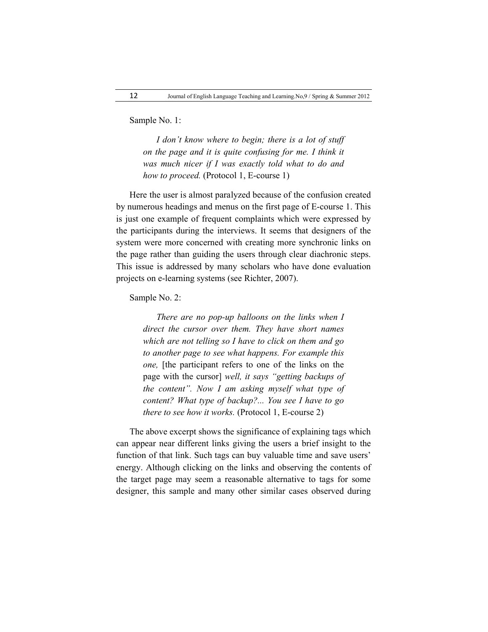Sample No. 1:

*I don't know where to begin; there is a lot of stuff on the page and it is quite confusing for me. I think it was much nicer if I was exactly told what to do and how to proceed.* (Protocol 1, E-course 1)

Here the user is almost paralyzed because of the confusion created by numerous headings and menus on the first page of E-course 1. This is just one example of frequent complaints which were expressed by the participants during the interviews. It seems that designers of the system were more concerned with creating more synchronic links on the page rather than guiding the users through clear diachronic steps. This issue is addressed by many scholars who have done evaluation projects on e-learning systems (see Richter, 2007).

Sample No. 2:

*There are no pop-up balloons on the links when I direct the cursor over them. They have short names which are not telling so I have to click on them and go to another page to see what happens. For example this one*, [the participant refers to one of the links on the page with the cursor] *well, it says "getting backups of the content". Now I am asking myself what type of content? What type of backup?... You see I have to go there to see how it works.* (Protocol 1, E-course 2)

The above excerpt shows the significance of explaining tags which can appear near different links giving the users a brief insight to the function of that link. Such tags can buy valuable time and save users' energy. Although clicking on the links and observing the contents of the target page may seem a reasonable alternative to tags for some designer, this sample and many other similar cases observed during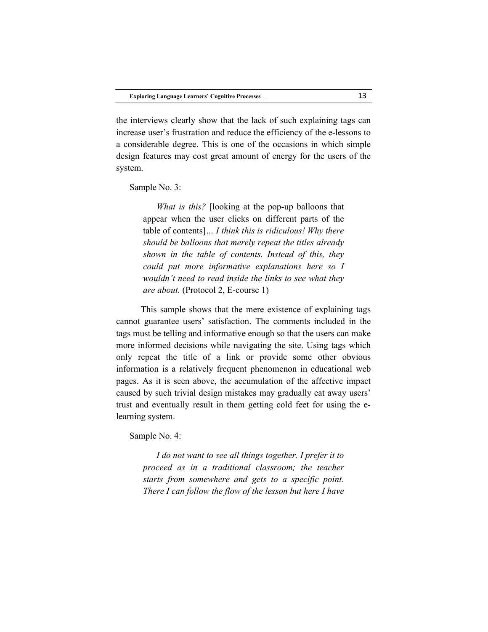the interviews clearly show that the lack of such explaining tags can increase user's frustration and reduce the efficiency of the e-lessons to a considerable degree. This is one of the occasions in which simple design features may cost great amount of energy for the users of the system.

Sample No. 3:

*What is this?* [looking at the pop-up balloons that appear when the user clicks on different parts of the table of contents]*… I think this is ridiculous! Why there should be balloons that merely repeat the titles already shown in the table of contents. Instead of this, they could put more informative explanations here so I wouldn't need to read inside the links to see what they are about.* (Protocol 2, E-course 1)

 This sample shows that the mere existence of explaining tags cannot guarantee users' satisfaction. The comments included in the tags must be telling and informative enough so that the users can make more informed decisions while navigating the site. Using tags which only repeat the title of a link or provide some other obvious information is a relatively frequent phenomenon in educational web pages. As it is seen above, the accumulation of the affective impact caused by such trivial design mistakes may gradually eat away users' trust and eventually result in them getting cold feet for using the elearning system.

Sample No. 4:

*I do not want to see all things together. I prefer it to proceed as in a traditional classroom; the teacher starts from somewhere and gets to a specific point. There I can follow the flow of the lesson but here I have*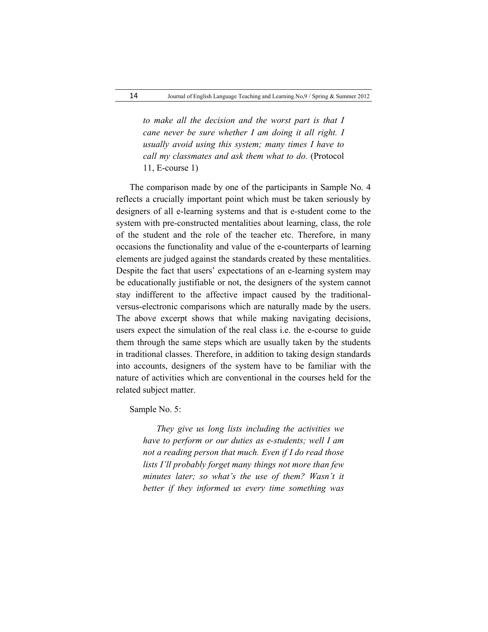*to make all the decision and the worst part is that I cane never be sure whether I am doing it all right. I usually avoid using this system; many times I have to call my classmates and ask them what to do.* (Protocol 11, E-course 1)

The comparison made by one of the participants in Sample No. 4 reflects a crucially important point which must be taken seriously by designers of all e-learning systems and that is e-student come to the system with pre-constructed mentalities about learning, class, the role of the student and the role of the teacher etc. Therefore, in many occasions the functionality and value of the e-counterparts of learning elements are judged against the standards created by these mentalities. Despite the fact that users' expectations of an e-learning system may be educationally justifiable or not, the designers of the system cannot stay indifferent to the affective impact caused by the traditionalversus-electronic comparisons which are naturally made by the users. The above excerpt shows that while making navigating decisions, users expect the simulation of the real class i.e. the e-course to guide them through the same steps which are usually taken by the students in traditional classes. Therefore, in addition to taking design standards into accounts, designers of the system have to be familiar with the nature of activities which are conventional in the courses held for the related subject matter.

Sample No. 5:

*They give us long lists including the activities we have to perform or our duties as e-students; well I am not a reading person that much. Even if I do read those lists I'll probably forget many things not more than few*  minutes later; so what's the use of them? Wasn't it *better if they informed us every time something was*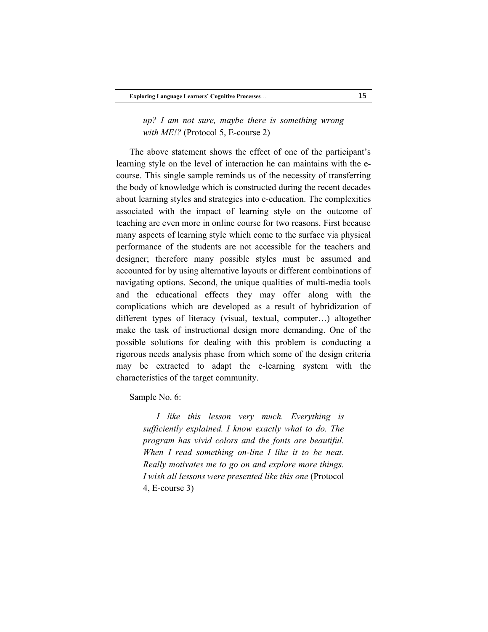*up? I am not sure, maybe there is something wrong with ME!?* (Protocol 5, E-course 2)

The above statement shows the effect of one of the participant's learning style on the level of interaction he can maintains with the ecourse. This single sample reminds us of the necessity of transferring the body of knowledge which is constructed during the recent decades about learning styles and strategies into e-education. The complexities associated with the impact of learning style on the outcome of teaching are even more in online course for two reasons. First because many aspects of learning style which come to the surface via physical performance of the students are not accessible for the teachers and designer; therefore many possible styles must be assumed and accounted for by using alternative layouts or different combinations of navigating options. Second, the unique qualities of multi-media tools and the educational effects they may offer along with the complications which are developed as a result of hybridization of different types of literacy (visual, textual, computer…) altogether make the task of instructional design more demanding. One of the possible solutions for dealing with this problem is conducting a rigorous needs analysis phase from which some of the design criteria may be extracted to adapt the e-learning system with the characteristics of the target community.

Sample No. 6:

*I like this lesson very much. Everything is sufficiently explained. I know exactly what to do. The program has vivid colors and the fonts are beautiful. When I read something on-line I like it to be neat. Really motivates me to go on and explore more things. I wish all lessons were presented like this one* (Protocol 4, E-course 3)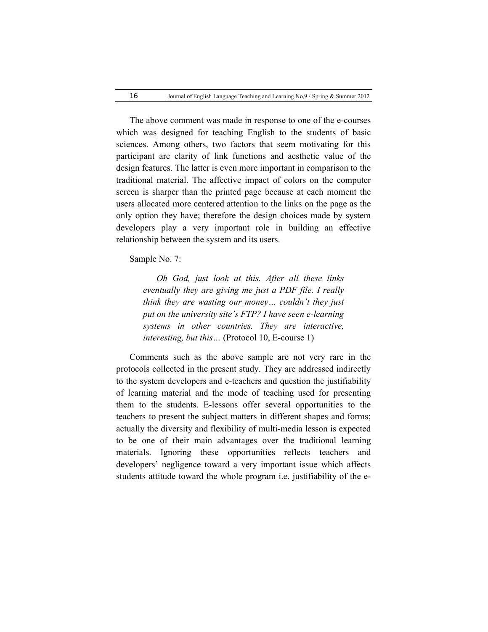The above comment was made in response to one of the e-courses which was designed for teaching English to the students of basic sciences. Among others, two factors that seem motivating for this participant are clarity of link functions and aesthetic value of the design features. The latter is even more important in comparison to the traditional material. The affective impact of colors on the computer screen is sharper than the printed page because at each moment the users allocated more centered attention to the links on the page as the only option they have; therefore the design choices made by system developers play a very important role in building an effective relationship between the system and its users.

Sample No. 7:

*Oh God, just look at this. After all these links eventually they are giving me just a PDF file. I really think they are wasting our money… couldn't they just put on the university site's FTP? I have seen e-learning systems in other countries. They are interactive, interesting, but this…* (Protocol 10, E-course 1)

Comments such as the above sample are not very rare in the protocols collected in the present study. They are addressed indirectly to the system developers and e-teachers and question the justifiability of learning material and the mode of teaching used for presenting them to the students. E-lessons offer several opportunities to the teachers to present the subject matters in different shapes and forms; actually the diversity and flexibility of multi-media lesson is expected to be one of their main advantages over the traditional learning materials. Ignoring these opportunities reflects teachers and developers' negligence toward a very important issue which affects students attitude toward the whole program i.e. justifiability of the e-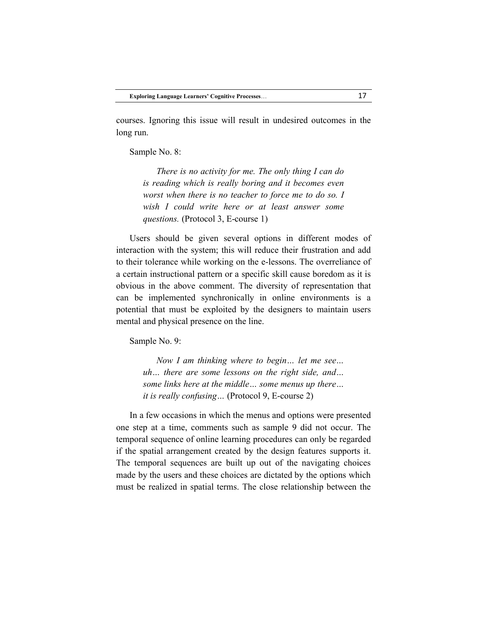courses. Ignoring this issue will result in undesired outcomes in the long run.

Sample No. 8:

*There is no activity for me. The only thing I can do is reading which is really boring and it becomes even worst when there is no teacher to force me to do so. I wish I could write here or at least answer some questions.* (Protocol 3, E-course 1)

Users should be given several options in different modes of interaction with the system; this will reduce their frustration and add to their tolerance while working on the e-lessons. The overreliance of a certain instructional pattern or a specific skill cause boredom as it is obvious in the above comment. The diversity of representation that can be implemented synchronically in online environments is a potential that must be exploited by the designers to maintain users mental and physical presence on the line.

Sample No. 9:

*Now I am thinking where to begin… let me see… uh… there are some lessons on the right side, and… some links here at the middle… some menus up there… it is really confusing…* (Protocol 9, E-course 2)

In a few occasions in which the menus and options were presented one step at a time, comments such as sample 9 did not occur. The temporal sequence of online learning procedures can only be regarded if the spatial arrangement created by the design features supports it. The temporal sequences are built up out of the navigating choices made by the users and these choices are dictated by the options which must be realized in spatial terms. The close relationship between the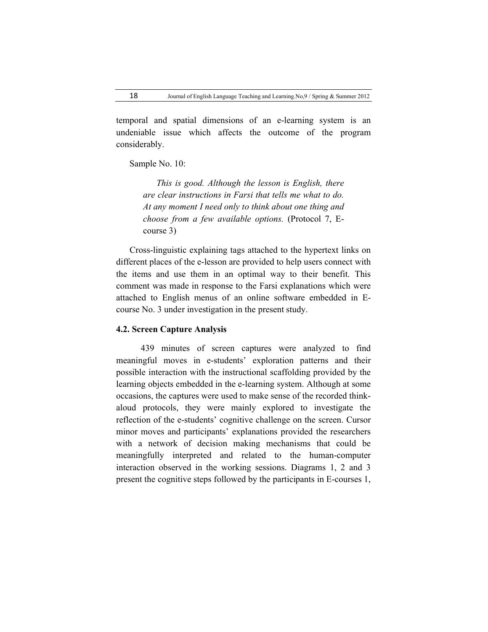temporal and spatial dimensions of an e-learning system is an undeniable issue which affects the outcome of the program considerably.

Sample No. 10:

*This is good. Although the lesson is English, there are clear instructions in Farsi that tells me what to do. At any moment I need only to think about one thing and choose from a few available options.* (Protocol 7, Ecourse 3)

Cross-linguistic explaining tags attached to the hypertext links on different places of the e-lesson are provided to help users connect with the items and use them in an optimal way to their benefit. This comment was made in response to the Farsi explanations which were attached to English menus of an online software embedded in Ecourse No. 3 under investigation in the present study.

### **4.2. Screen Capture Analysis**

 439 minutes of screen captures were analyzed to find meaningful moves in e-students' exploration patterns and their possible interaction with the instructional scaffolding provided by the learning objects embedded in the e-learning system. Although at some occasions, the captures were used to make sense of the recorded thinkaloud protocols, they were mainly explored to investigate the reflection of the e-students' cognitive challenge on the screen. Cursor minor moves and participants' explanations provided the researchers with a network of decision making mechanisms that could be meaningfully interpreted and related to the human-computer interaction observed in the working sessions. Diagrams 1, 2 and 3 present the cognitive steps followed by the participants in E-courses 1,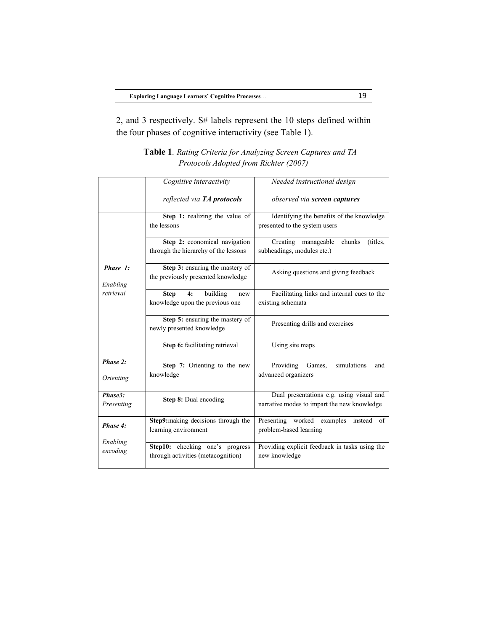2, and 3 respectively. S# labels represent the 10 steps defined within the four phases of cognitive interactivity (see Table 1).

|                                   | Cognitive interactivity                                      | Needed instructional design                                                             |
|-----------------------------------|--------------------------------------------------------------|-----------------------------------------------------------------------------------------|
|                                   | reflected via <b>TA</b> protocols                            | observed via screen captures                                                            |
| Phase 1:<br>Enabling<br>retrieval | Step 1: realizing the value of                               | Identifying the benefits of the knowledge                                               |
|                                   | the lessons                                                  | presented to the system users                                                           |
|                                   | Step 2: economical navigation                                | Creating manageable<br>chunks<br>(titles,                                               |
|                                   | through the hierarchy of the lessons                         | subheadings, modules etc.)                                                              |
|                                   | Step 3: ensuring the mastery of                              | Asking questions and giving feedback                                                    |
|                                   | the previously presented knowledge                           |                                                                                         |
|                                   | 4:<br>building<br><b>Step</b><br>new                         | Facilitating links and internal cues to the                                             |
|                                   | knowledge upon the previous one                              | existing schemata                                                                       |
|                                   | Step 5: ensuring the mastery of<br>newly presented knowledge | Presenting drills and exercises                                                         |
|                                   | Step 6: facilitating retrieval                               | Using site maps                                                                         |
| Phase 2:                          | Step 7: Orienting to the new                                 | Providing Games,<br>simulations<br>and                                                  |
| Orienting                         | knowledge                                                    | advanced organizers                                                                     |
| Phase3:<br>Presenting             | <b>Step 8:</b> Dual encoding                                 | Dual presentations e.g. using visual and<br>narrative modes to impart the new knowledge |
| Phase 4:                          | Step9:making decisions through the                           | Presenting worked examples<br>instead<br>of                                             |
|                                   | learning environment                                         | problem-based learning                                                                  |
| Enabling<br>encoding              | Step10: checking one's progress                              | Providing explicit feedback in tasks using the                                          |
|                                   | through activities (metacognition)                           | new knowledge                                                                           |

**Table 1***. Rating Criteria for Analyzing Screen Captures and TA Protocols Adopted from Richter (2007)*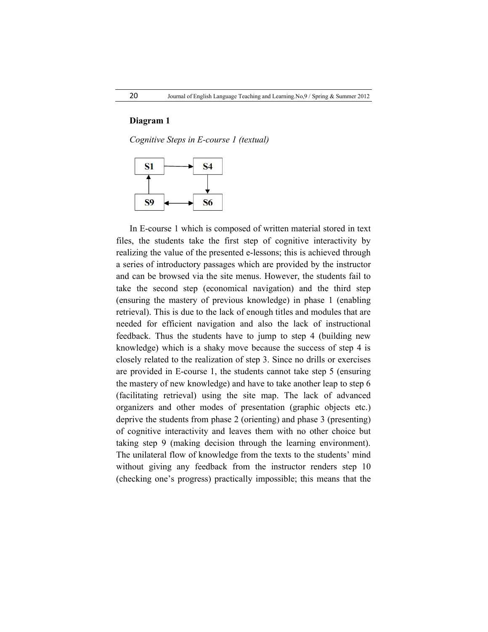### **Diagram 1**

*Cognitive Steps in E-course 1 (textual)*



In E-course 1 which is composed of written material stored in text files, the students take the first step of cognitive interactivity by realizing the value of the presented e-lessons; this is achieved through a series of introductory passages which are provided by the instructor and can be browsed via the site menus. However, the students fail to take the second step (economical navigation) and the third step (ensuring the mastery of previous knowledge) in phase 1 (enabling retrieval). This is due to the lack of enough titles and modules that are needed for efficient navigation and also the lack of instructional feedback. Thus the students have to jump to step 4 (building new knowledge) which is a shaky move because the success of step 4 is closely related to the realization of step 3. Since no drills or exercises are provided in E-course 1, the students cannot take step 5 (ensuring the mastery of new knowledge) and have to take another leap to step 6 (facilitating retrieval) using the site map. The lack of advanced organizers and other modes of presentation (graphic objects etc.) deprive the students from phase 2 (orienting) and phase 3 (presenting) of cognitive interactivity and leaves them with no other choice but taking step 9 (making decision through the learning environment). The unilateral flow of knowledge from the texts to the students' mind without giving any feedback from the instructor renders step 10 (checking one's progress) practically impossible; this means that the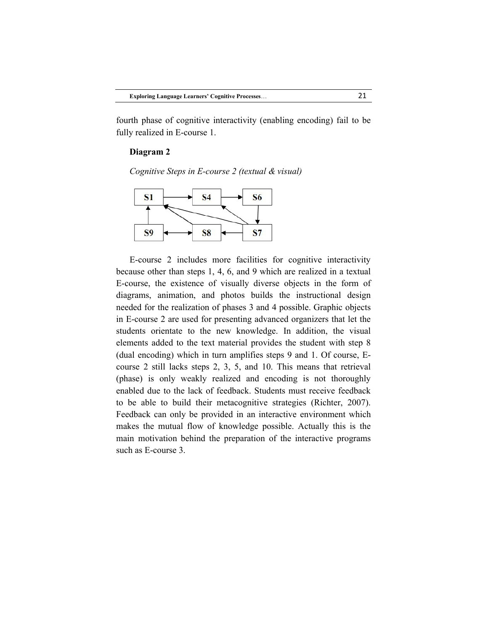fourth phase of cognitive interactivity (enabling encoding) fail to be fully realized in E-course 1.

#### **Diagram 2**

*Cognitive Steps in E-course 2 (textual & visual)*



E-course 2 includes more facilities for cognitive interactivity because other than steps 1, 4, 6, and 9 which are realized in a textual E-course, the existence of visually diverse objects in the form of diagrams, animation, and photos builds the instructional design needed for the realization of phases 3 and 4 possible. Graphic objects in E-course 2 are used for presenting advanced organizers that let the students orientate to the new knowledge. In addition, the visual elements added to the text material provides the student with step 8 (dual encoding) which in turn amplifies steps 9 and 1. Of course, Ecourse 2 still lacks steps 2, 3, 5, and 10. This means that retrieval (phase) is only weakly realized and encoding is not thoroughly enabled due to the lack of feedback. Students must receive feedback to be able to build their metacognitive strategies (Richter, 2007). Feedback can only be provided in an interactive environment which makes the mutual flow of knowledge possible. Actually this is the main motivation behind the preparation of the interactive programs such as E-course 3.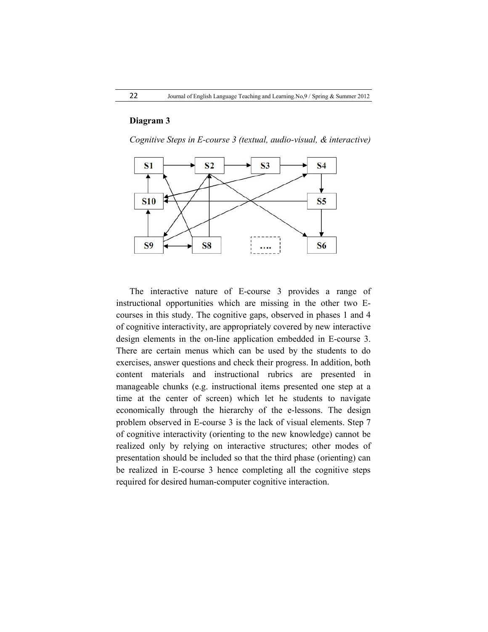# **Diagram 3**

*Cognitive Steps in E-course 3 (textual, audio-visual, & interactive)*



The interactive nature of E-course 3 provides a range of instructional opportunities which are missing in the other two Ecourses in this study. The cognitive gaps, observed in phases 1 and 4 of cognitive interactivity, are appropriately covered by new interactive design elements in the on-line application embedded in E-course 3. There are certain menus which can be used by the students to do exercises, answer questions and check their progress. In addition, both content materials and instructional rubrics are presented in manageable chunks (e.g. instructional items presented one step at a time at the center of screen) which let he students to navigate economically through the hierarchy of the e-lessons. The design problem observed in E-course 3 is the lack of visual elements. Step 7 of cognitive interactivity (orienting to the new knowledge) cannot be realized only by relying on interactive structures; other modes of presentation should be included so that the third phase (orienting) can be realized in E-course 3 hence completing all the cognitive steps required for desired human-computer cognitive interaction.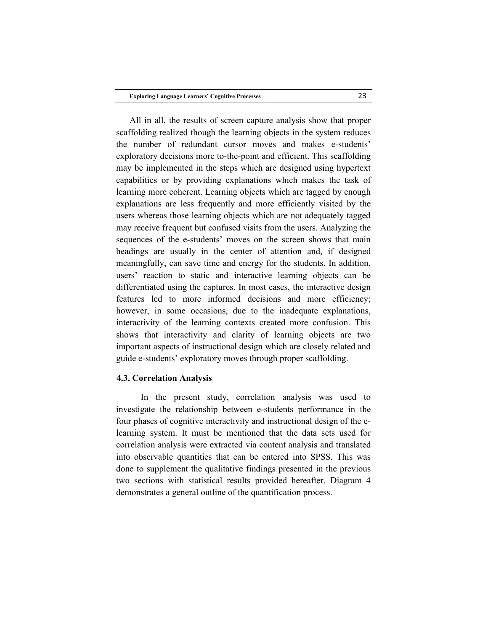All in all, the results of screen capture analysis show that proper scaffolding realized though the learning objects in the system reduces the number of redundant cursor moves and makes e-students' exploratory decisions more to-the-point and efficient. This scaffolding may be implemented in the steps which are designed using hypertext capabilities or by providing explanations which makes the task of learning more coherent. Learning objects which are tagged by enough explanations are less frequently and more efficiently visited by the users whereas those learning objects which are not adequately tagged may receive frequent but confused visits from the users. Analyzing the sequences of the e-students' moves on the screen shows that main headings are usually in the center of attention and, if designed meaningfully, can save time and energy for the students. In addition, users' reaction to static and interactive learning objects can be differentiated using the captures. In most cases, the interactive design features led to more informed decisions and more efficiency; however, in some occasions, due to the inadequate explanations, interactivity of the learning contexts created more confusion. This shows that interactivity and clarity of learning objects are two important aspects of instructional design which are closely related and guide e-students' exploratory moves through proper scaffolding.

### **4.3. Correlation Analysis**

 In the present study, correlation analysis was used to investigate the relationship between e-students performance in the four phases of cognitive interactivity and instructional design of the elearning system. It must be mentioned that the data sets used for correlation analysis were extracted via content analysis and translated into observable quantities that can be entered into SPSS. This was done to supplement the qualitative findings presented in the previous two sections with statistical results provided hereafter. Diagram 4 demonstrates a general outline of the quantification process.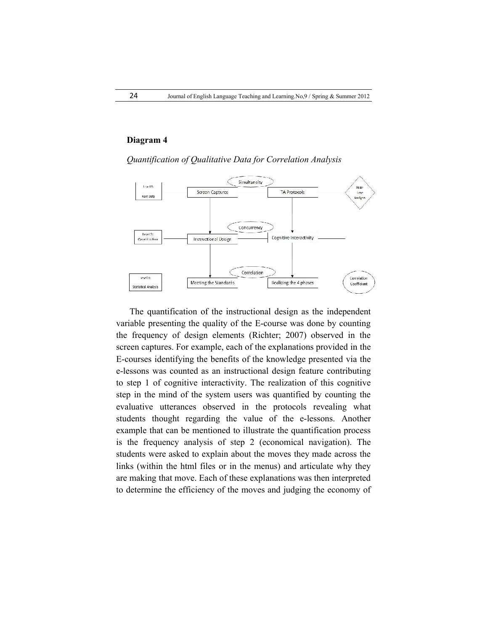# **Diagram 4**

*Quantification of Qualitative Data for Correlation Analysis*



The quantification of the instructional design as the independent variable presenting the quality of the E-course was done by counting the frequency of design elements (Richter; 2007) observed in the screen captures. For example, each of the explanations provided in the E-courses identifying the benefits of the knowledge presented via the e-lessons was counted as an instructional design feature contributing to step 1 of cognitive interactivity. The realization of this cognitive step in the mind of the system users was quantified by counting the evaluative utterances observed in the protocols revealing what students thought regarding the value of the e-lessons. Another example that can be mentioned to illustrate the quantification process is the frequency analysis of step 2 (economical navigation). The students were asked to explain about the moves they made across the links (within the html files or in the menus) and articulate why they are making that move. Each of these explanations was then interpreted to determine the efficiency of the moves and judging the economy of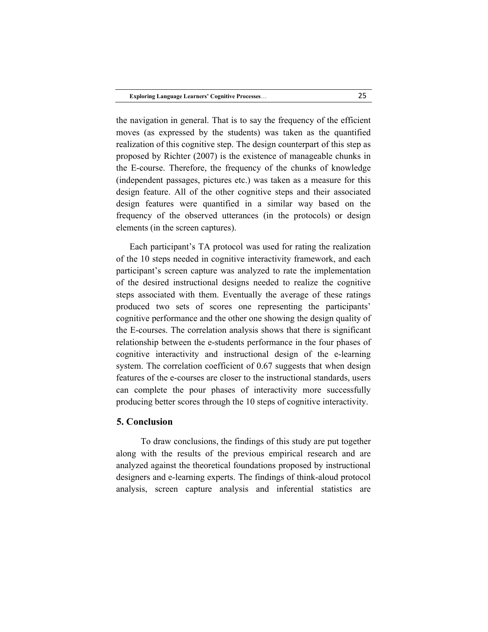the navigation in general. That is to say the frequency of the efficient moves (as expressed by the students) was taken as the quantified realization of this cognitive step. The design counterpart of this step as proposed by Richter (2007) is the existence of manageable chunks in the E-course. Therefore, the frequency of the chunks of knowledge (independent passages, pictures etc.) was taken as a measure for this design feature. All of the other cognitive steps and their associated design features were quantified in a similar way based on the frequency of the observed utterances (in the protocols) or design elements (in the screen captures).

Each participant's TA protocol was used for rating the realization of the 10 steps needed in cognitive interactivity framework, and each participant's screen capture was analyzed to rate the implementation of the desired instructional designs needed to realize the cognitive steps associated with them. Eventually the average of these ratings produced two sets of scores one representing the participants' cognitive performance and the other one showing the design quality of the E-courses. The correlation analysis shows that there is significant relationship between the e-students performance in the four phases of cognitive interactivity and instructional design of the e-learning system. The correlation coefficient of 0.67 suggests that when design features of the e-courses are closer to the instructional standards, users can complete the pour phases of interactivity more successfully producing better scores through the 10 steps of cognitive interactivity.

# **5. Conclusion**

 To draw conclusions, the findings of this study are put together along with the results of the previous empirical research and are analyzed against the theoretical foundations proposed by instructional designers and e-learning experts. The findings of think-aloud protocol analysis, screen capture analysis and inferential statistics are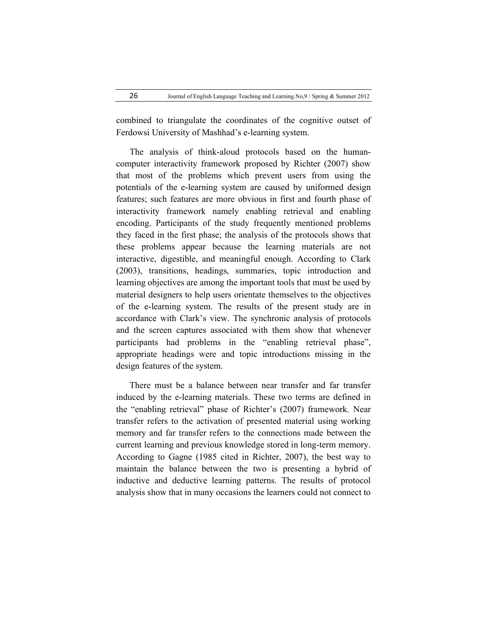combined to triangulate the coordinates of the cognitive outset of Ferdowsi University of Mashhad's e-learning system.

The analysis of think-aloud protocols based on the humancomputer interactivity framework proposed by Richter (2007) show that most of the problems which prevent users from using the potentials of the e-learning system are caused by uniformed design features; such features are more obvious in first and fourth phase of interactivity framework namely enabling retrieval and enabling encoding. Participants of the study frequently mentioned problems they faced in the first phase; the analysis of the protocols shows that these problems appear because the learning materials are not interactive, digestible, and meaningful enough. According to Clark (2003), transitions, headings, summaries, topic introduction and learning objectives are among the important tools that must be used by material designers to help users orientate themselves to the objectives of the e-learning system. The results of the present study are in accordance with Clark's view. The synchronic analysis of protocols and the screen captures associated with them show that whenever participants had problems in the "enabling retrieval phase", appropriate headings were and topic introductions missing in the design features of the system.

There must be a balance between near transfer and far transfer induced by the e-learning materials. These two terms are defined in the "enabling retrieval" phase of Richter's (2007) framework. Near transfer refers to the activation of presented material using working memory and far transfer refers to the connections made between the current learning and previous knowledge stored in long-term memory. According to Gagne (1985 cited in Richter, 2007), the best way to maintain the balance between the two is presenting a hybrid of inductive and deductive learning patterns. The results of protocol analysis show that in many occasions the learners could not connect to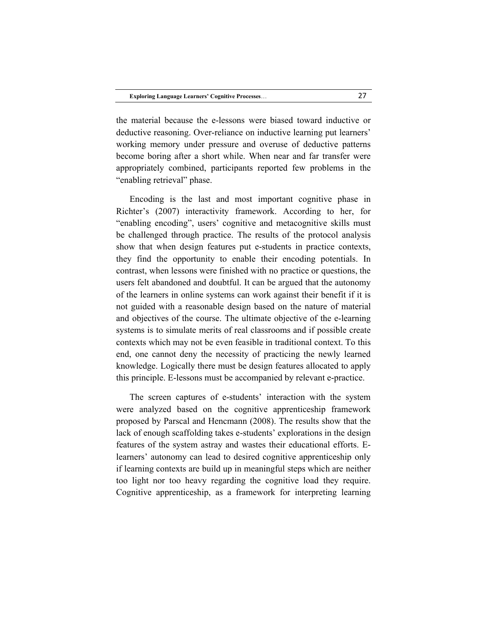the material because the e-lessons were biased toward inductive or deductive reasoning. Over-reliance on inductive learning put learners' working memory under pressure and overuse of deductive patterns become boring after a short while. When near and far transfer were appropriately combined, participants reported few problems in the "enabling retrieval" phase.

Encoding is the last and most important cognitive phase in Richter's (2007) interactivity framework. According to her, for "enabling encoding", users' cognitive and metacognitive skills must be challenged through practice. The results of the protocol analysis show that when design features put e-students in practice contexts, they find the opportunity to enable their encoding potentials. In contrast, when lessons were finished with no practice or questions, the users felt abandoned and doubtful. It can be argued that the autonomy of the learners in online systems can work against their benefit if it is not guided with a reasonable design based on the nature of material and objectives of the course. The ultimate objective of the e-learning systems is to simulate merits of real classrooms and if possible create contexts which may not be even feasible in traditional context. To this end, one cannot deny the necessity of practicing the newly learned knowledge. Logically there must be design features allocated to apply this principle. E-lessons must be accompanied by relevant e-practice.

The screen captures of e-students' interaction with the system were analyzed based on the cognitive apprenticeship framework proposed by Parscal and Hencmann (2008). The results show that the lack of enough scaffolding takes e-students' explorations in the design features of the system astray and wastes their educational efforts. Elearners' autonomy can lead to desired cognitive apprenticeship only if learning contexts are build up in meaningful steps which are neither too light nor too heavy regarding the cognitive load they require. Cognitive apprenticeship, as a framework for interpreting learning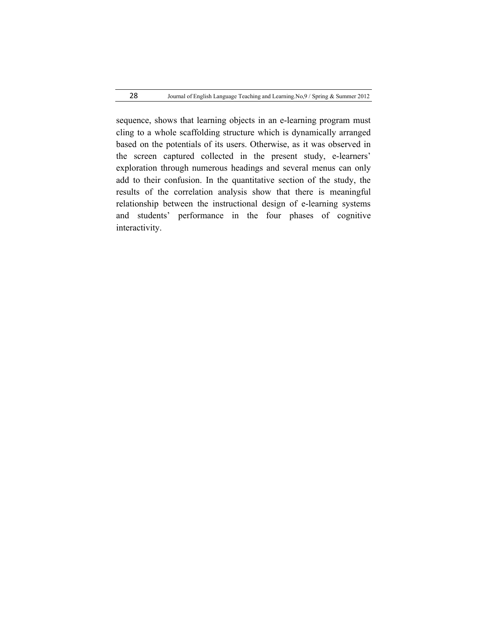sequence, shows that learning objects in an e-learning program must cling to a whole scaffolding structure which is dynamically arranged based on the potentials of its users. Otherwise, as it was observed in the screen captured collected in the present study, e-learners' exploration through numerous headings and several menus can only add to their confusion. In the quantitative section of the study, the results of the correlation analysis show that there is meaningful relationship between the instructional design of e-learning systems and students' performance in the four phases of cognitive interactivity.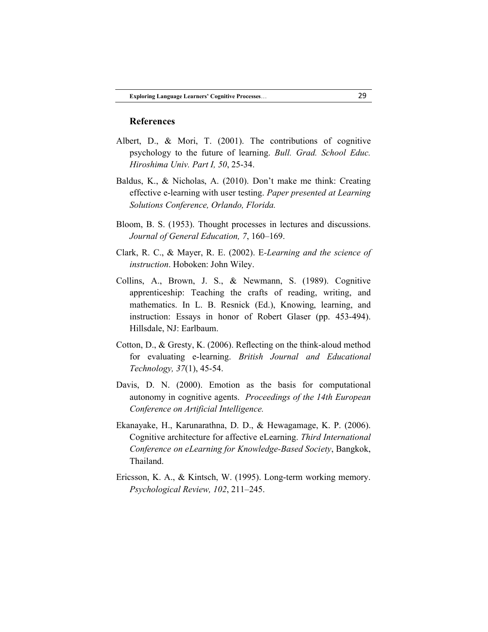#### **References**

- Albert, D., & Mori, T. (2001). The contributions of cognitive psychology to the future of learning. *Bull. Grad. School Educ. Hiroshima Univ. Part I, 50*, 25-34.
- Baldus, K., & Nicholas, A. (2010). Don't make me think: Creating effective e-learning with user testing. *Paper presented at Learning Solutions Conference, Orlando, Florida.*
- Bloom, B. S. (1953). Thought processes in lectures and discussions. *Journal of General Education, 7*, 160–169.
- Clark, R. C., & Mayer, R. E. (2002). E*-Learning and the science of instruction*. Hoboken: John Wiley.
- Collins, A., Brown, J. S., & Newmann, S. (1989). Cognitive apprenticeship: Teaching the crafts of reading, writing, and mathematics. In L. B. Resnick (Ed.), Knowing, learning, and instruction: Essays in honor of Robert Glaser (pp. 453-494). Hillsdale, NJ: Earlbaum.
- Cotton, D., & Gresty, K. (2006). Reflecting on the think-aloud method for evaluating e-learning. *British Journal and Educational Technology, 37*(1), 45-54.
- Davis, D. N. (2000). Emotion as the basis for computational autonomy in cognitive agents. *Proceedings of the 14th European Conference on Artificial Intelligence.*
- Ekanayake, H., Karunarathna, D. D., & Hewagamage, K. P. (2006). Cognitive architecture for affective eLearning. *Third International Conference on eLearning for Knowledge-Based Society*, Bangkok, Thailand.
- Ericsson, K. A., & Kintsch, W. (1995). Long-term working memory. *Psychological Review, 102*, 211–245.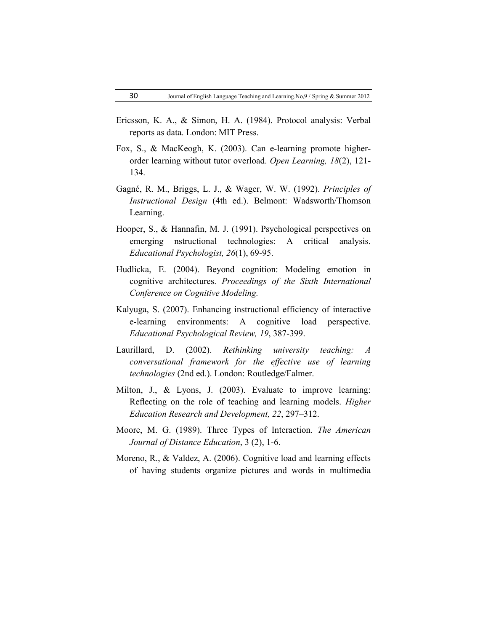- Ericsson, K. A., & Simon, H. A. (1984). Protocol analysis: Verbal reports as data. London: MIT Press.
- Fox, S., & MacKeogh, K. (2003). Can e-learning promote higherorder learning without tutor overload. *Open Learning, 18*(2), 121- 134.
- Gagné, R. M., Briggs, L. J., & Wager, W. W. (1992). *Principles of Instructional Design* (4th ed.). Belmont: Wadsworth/Thomson Learning.
- Hooper, S., & Hannafin, M. J. (1991). Psychological perspectives on emerging nstructional technologies: A critical analysis. *Educational Psychologist, 26*(1), 69-95.
- Hudlicka, E. (2004). Beyond cognition: Modeling emotion in cognitive architectures. *Proceedings of the Sixth International Conference on Cognitive Modeling.*
- Kalyuga, S. (2007). Enhancing instructional efficiency of interactive e-learning environments: A cognitive load perspective. *Educational Psychological Review, 19*, 387-399.
- Laurillard, D. (2002). *Rethinking university teaching: A conversational framework for the effective use of learning technologies* (2nd ed.). London: Routledge/Falmer.
- Milton, J., & Lyons, J. (2003). Evaluate to improve learning: Reflecting on the role of teaching and learning models. *Higher Education Research and Development, 22*, 297–312.
- Moore, M. G. (1989). Three Types of Interaction. *The American Journal of Distance Education*, 3 (2), 1-6.
- Moreno, R., & Valdez, A. (2006). Cognitive load and learning effects of having students organize pictures and words in multimedia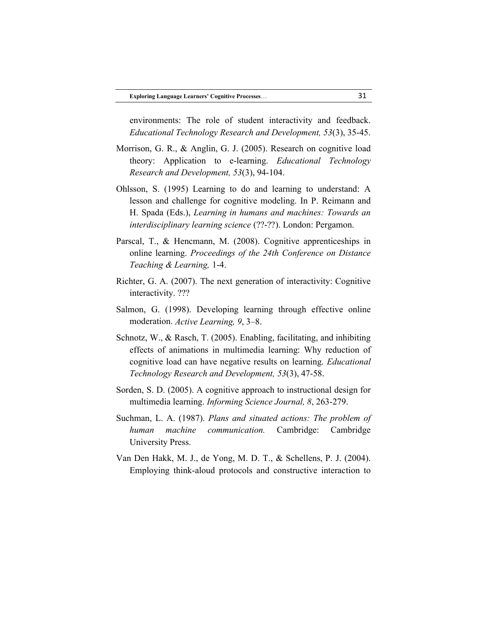environments: The role of student interactivity and feedback. *Educational Technology Research and Development, 53*(3), 35-45.

- Morrison, G. R., & Anglin, G. J. (2005). Research on cognitive load theory: Application to e-learning. *Educational Technology Research and Development, 53*(3), 94-104.
- Ohlsson, S. (1995) Learning to do and learning to understand: A lesson and challenge for cognitive modeling. In P. Reimann and H. Spada (Eds.), *Learning in humans and machines: Towards an interdisciplinary learning science* (??-??). London: Pergamon.
- Parscal, T., & Hencmann, M. (2008). Cognitive apprenticeships in online learning. *Proceedings of the 24th Conference on Distance Teaching & Learning,* 1-4.
- Richter, G. A. (2007). The next generation of interactivity: Cognitive interactivity. ???
- Salmon, G. (1998). Developing learning through effective online moderation. *Active Learning, 9*, 3–8.
- Schnotz, W., & Rasch, T. (2005). Enabling, facilitating, and inhibiting effects of animations in multimedia learning: Why reduction of cognitive load can have negative results on learning. *Educational Technology Research and Development, 53*(3), 47-58.
- Sorden, S. D. (2005). A cognitive approach to instructional design for multimedia learning. *Informing Science Journal, 8*, 263-279.
- Suchman, L. A. (1987). *Plans and situated actions: The problem of human machine communication.* Cambridge: Cambridge University Press.
- Van Den Hakk, M. J., de Yong, M. D. T., & Schellens, P. J. (2004). Employing think-aloud protocols and constructive interaction to